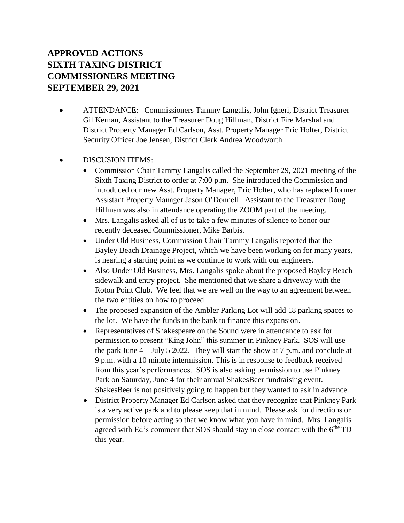# **APPROVED ACTIONS SIXTH TAXING DISTRICT COMMISSIONERS MEETING SEPTEMBER 29, 2021**

- ATTENDANCE: Commissioners Tammy Langalis, John Igneri, District Treasurer Gil Kernan, Assistant to the Treasurer Doug Hillman, District Fire Marshal and District Property Manager Ed Carlson, Asst. Property Manager Eric Holter, District Security Officer Joe Jensen, District Clerk Andrea Woodworth.
- DISCUSION ITEMS:
	- Commission Chair Tammy Langalis called the September 29, 2021 meeting of the Sixth Taxing District to order at 7:00 p.m. She introduced the Commission and introduced our new Asst. Property Manager, Eric Holter, who has replaced former Assistant Property Manager Jason O'Donnell. Assistant to the Treasurer Doug Hillman was also in attendance operating the ZOOM part of the meeting.
	- Mrs. Langalis asked all of us to take a few minutes of silence to honor our recently deceased Commissioner, Mike Barbis.
	- Under Old Business, Commission Chair Tammy Langalis reported that the Bayley Beach Drainage Project, which we have been working on for many years, is nearing a starting point as we continue to work with our engineers.
	- Also Under Old Business, Mrs. Langalis spoke about the proposed Bayley Beach sidewalk and entry project. She mentioned that we share a driveway with the Roton Point Club. We feel that we are well on the way to an agreement between the two entities on how to proceed.
	- The proposed expansion of the Ambler Parking Lot will add 18 parking spaces to the lot. We have the funds in the bank to finance this expansion.
	- Representatives of Shakespeare on the Sound were in attendance to ask for permission to present "King John" this summer in Pinkney Park. SOS will use the park June  $4 -$  July 5 2022. They will start the show at 7 p.m. and conclude at 9 p.m. with a 10 minute intermission. This is in response to feedback received from this year's performances. SOS is also asking permission to use Pinkney Park on Saturday, June 4 for their annual ShakesBeer fundraising event. ShakesBeer is not positively going to happen but they wanted to ask in advance.
	- District Property Manager Ed Carlson asked that they recognize that Pinkney Park is a very active park and to please keep that in mind. Please ask for directions or permission before acting so that we know what you have in mind. Mrs. Langalis agreed with Ed's comment that SOS should stay in close contact with the  $6<sup>the</sup> TD$ this year.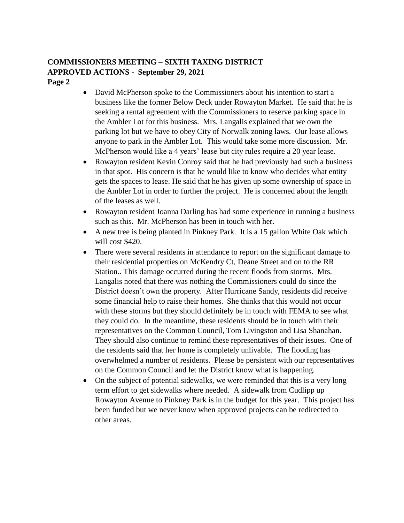### **COMMISSIONERS MEETING – SIXTH TAXING DISTRICT APPROVED ACTIONS - September 29, 2021 Page 2**

- David McPherson spoke to the Commissioners about his intention to start a business like the former Below Deck under Rowayton Market. He said that he is seeking a rental agreement with the Commissioners to reserve parking space in the Ambler Lot for this business. Mrs. Langalis explained that we own the parking lot but we have to obey City of Norwalk zoning laws. Our lease allows anyone to park in the Ambler Lot. This would take some more discussion. Mr. McPherson would like a 4 years' lease but city rules require a 20 year lease.
- Rowayton resident Kevin Conroy said that he had previously had such a business in that spot. His concern is that he would like to know who decides what entity gets the spaces to lease. He said that he has given up some ownership of space in the Ambler Lot in order to further the project. He is concerned about the length of the leases as well.
- Rowayton resident Joanna Darling has had some experience in running a business such as this. Mr. McPherson has been in touch with her.
- A new tree is being planted in Pinkney Park. It is a 15 gallon White Oak which will cost \$420.
- There were several residents in attendance to report on the significant damage to their residential properties on McKendry Ct, Deane Street and on to the RR Station.. This damage occurred during the recent floods from storms. Mrs. Langalis noted that there was nothing the Commissioners could do since the District doesn't own the property. After Hurricane Sandy, residents did receive some financial help to raise their homes. She thinks that this would not occur with these storms but they should definitely be in touch with FEMA to see what they could do. In the meantime, these residents should be in touch with their representatives on the Common Council, Tom Livingston and Lisa Shanahan. They should also continue to remind these representatives of their issues. One of the residents said that her home is completely unlivable. The flooding has overwhelmed a number of residents. Please be persistent with our representatives on the Common Council and let the District know what is happening.
- On the subject of potential sidewalks, we were reminded that this is a very long term effort to get sidewalks where needed. A sidewalk from Cudlipp up Rowayton Avenue to Pinkney Park is in the budget for this year. This project has been funded but we never know when approved projects can be redirected to other areas.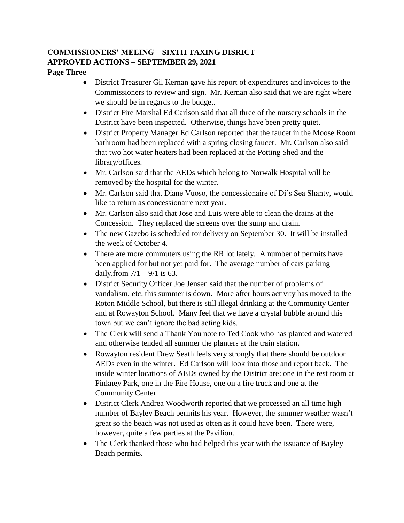# **COMMISSIONERS' MEEING – SIXTH TAXING DISRICT APPROVED ACTIONS – SEPTEMBER 29, 2021**

#### **Page Three**

- District Treasurer Gil Kernan gave his report of expenditures and invoices to the Commissioners to review and sign. Mr. Kernan also said that we are right where we should be in regards to the budget.
- District Fire Marshal Ed Carlson said that all three of the nursery schools in the District have been inspected. Otherwise, things have been pretty quiet.
- District Property Manager Ed Carlson reported that the faucet in the Moose Room bathroom had been replaced with a spring closing faucet. Mr. Carlson also said that two hot water heaters had been replaced at the Potting Shed and the library/offices.
- Mr. Carlson said that the AEDs which belong to Norwalk Hospital will be removed by the hospital for the winter.
- Mr. Carlson said that Diane Vuoso, the concessionaire of Di's Sea Shanty, would like to return as concessionaire next year.
- Mr. Carlson also said that Jose and Luis were able to clean the drains at the Concession. They replaced the screens over the sump and drain.
- The new Gazebo is scheduled tor delivery on September 30. It will be installed the week of October 4.
- There are more commuters using the RR lot lately. A number of permits have been applied for but not yet paid for. The average number of cars parking daily.from  $7/1 - 9/1$  is 63.
- District Security Officer Joe Jensen said that the number of problems of vandalism, etc. this summer is down. More after hours activity has moved to the Roton Middle School, but there is still illegal drinking at the Community Center and at Rowayton School. Many feel that we have a crystal bubble around this town but we can't ignore the bad acting kids.
- The Clerk will send a Thank You note to Ted Cook who has planted and watered and otherwise tended all summer the planters at the train station.
- Rowayton resident Drew Seath feels very strongly that there should be outdoor AEDs even in the winter. Ed Carlson will look into those and report back. The inside winter locations of AEDs owned by the District are: one in the rest room at Pinkney Park, one in the Fire House, one on a fire truck and one at the Community Center.
- District Clerk Andrea Woodworth reported that we processed an all time high number of Bayley Beach permits his year. However, the summer weather wasn't great so the beach was not used as often as it could have been. There were, however, quite a few parties at the Pavilion.
- The Clerk thanked those who had helped this year with the issuance of Bayley Beach permits.